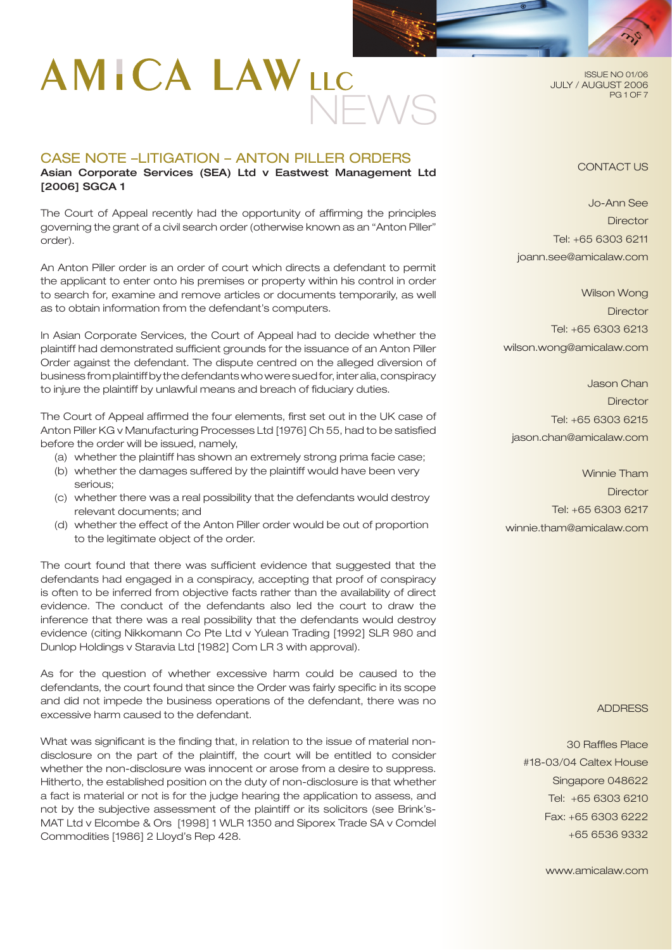# **AMICA LAWLLC** NEWS

## CASE NOTE –LITIGATION – ANTON PILLER ORDERS Asian Corporate Services (SEA) Ltd v Eastwest Management Ltd

[2006] SGCA 1

The Court of Appeal recently had the opportunity of affirming the principles governing the grant of a civil search order (otherwise known as an "Anton Piller" order).

An Anton Piller order is an order of court which directs a defendant to permit the applicant to enter onto his premises or property within his control in order to search for, examine and remove articles or documents temporarily, as well as to obtain information from the defendant's computers.

In Asian Corporate Services, the Court of Appeal had to decide whether the plaintiff had demonstrated sufficient grounds for the issuance of an Anton Piller Order against the defendant. The dispute centred on the alleged diversion of business from plaintiff by the defendants who were sued for, inter alia, conspiracy to injure the plaintiff by unlawful means and breach of fiduciary duties.

The Court of Appeal affirmed the four elements, first set out in the UK case of Anton Piller KG v Manufacturing Processes Ltd [1976] Ch 55, had to be satisfied before the order will be issued, namely,

- (a) whether the plaintiff has shown an extremely strong prima facie case;
- (b) whether the damages suffered by the plaintiff would have been very serious;
- (c) whether there was a real possibility that the defendants would destroy relevant documents; and
- (d) whether the effect of the Anton Piller order would be out of proportion to the legitimate object of the order.

The court found that there was sufficient evidence that suggested that the defendants had engaged in a conspiracy, accepting that proof of conspiracy is often to be inferred from objective facts rather than the availability of direct evidence. The conduct of the defendants also led the court to draw the inference that there was a real possibility that the defendants would destroy evidence (citing Nikkomann Co Pte Ltd v Yulean Trading [1992] SLR 980 and Dunlop Holdings v Staravia Ltd [1982] Com LR 3 with approval).

As for the question of whether excessive harm could be caused to the defendants, the court found that since the Order was fairly specific in its scope and did not impede the business operations of the defendant, there was no excessive harm caused to the defendant.

What was significant is the finding that, in relation to the issue of material nondisclosure on the part of the plaintiff, the court will be entitled to consider whether the non-disclosure was innocent or arose from a desire to suppress. Hitherto, the established position on the duty of non-disclosure is that whether a fact is material or not is for the judge hearing the application to assess, and not by the subjective assessment of the plaintiff or its solicitors (see Brink's-MAT Ltd v Elcombe & Ors [1998] 1 WLR 1350 and Siporex Trade SA v Comdel Commodities [1986] 2 Lloyd's Rep 428.

ISSUE NO 01/06 JULY / AUGUST 2006 PG 1 OF 7

## CONTACT US

Jo-Ann See **Director** Tel: +65 6303 6211 joann.see@amicalaw.com

Wilson Wong **Director** Tel: +65 6303 6213 wilson.wong@amicalaw.com

Jason Chan **Director** Tel: +65 6303 6215 jason.chan@amicalaw.com

Winnie Tham **Director** Tel: +65 6303 6217 winnie.tham@amicalaw.com

ADDRESS

30 Raffles Place #18-03/04 Caltex House Singapore 048622 Tel: +65 6303 6210 Fax: +65 6303 6222 +65 6536 9332

www.amicalaw.com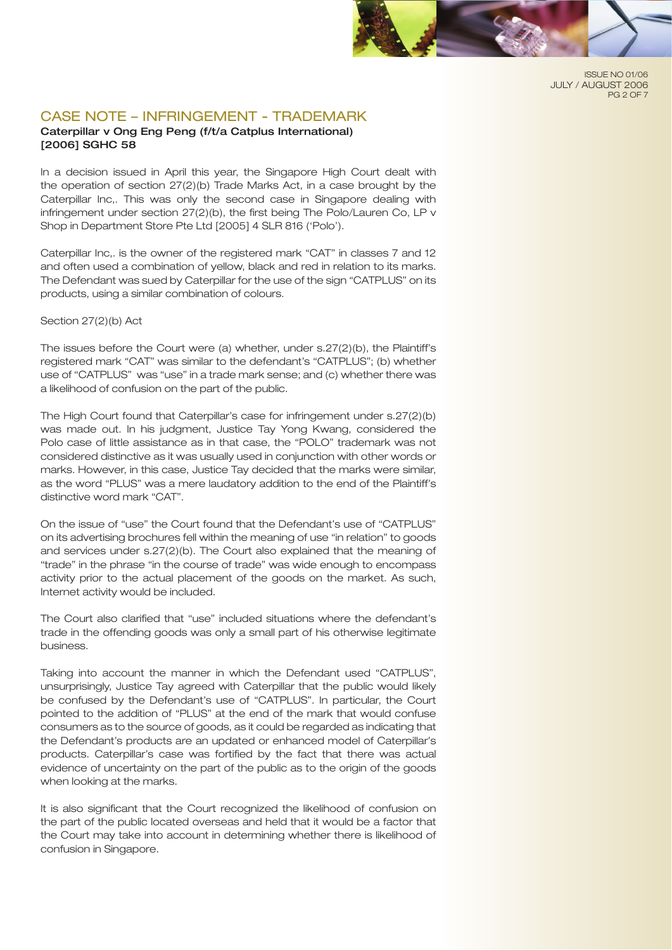

ISSUE NO 01/06 JULY / AUGUST 2006 PG 2 OF 7

# CASE NOTE – INFRINGEMENT - TRADEMARK

## Caterpillar v Ong Eng Peng (f/t/a Catplus International) [2006] SGHC 58

In a decision issued in April this year, the Singapore High Court dealt with the operation of section 27(2)(b) Trade Marks Act, in a case brought by the Caterpillar Inc,. This was only the second case in Singapore dealing with infringement under section 27(2)(b), the first being The Polo/Lauren Co, LP v Shop in Department Store Pte Ltd [2005] 4 SLR 816 ('Polo').

Caterpillar Inc,. is the owner of the registered mark "CAT" in classes 7 and 12 and often used a combination of yellow, black and red in relation to its marks. The Defendant was sued by Caterpillar for the use of the sign "CATPLUS" on its products, using a similar combination of colours.

#### Section 27(2)(b) Act

The issues before the Court were (a) whether, under s.27(2)(b), the Plaintiff's registered mark "CAT" was similar to the defendant's "CATPLUS"; (b) whether use of "CATPLUS" was "use" in a trade mark sense; and (c) whether there was a likelihood of confusion on the part of the public.

The High Court found that Caterpillar's case for infringement under s.27(2)(b) was made out. In his judgment, Justice Tay Yong Kwang, considered the Polo case of little assistance as in that case, the "POLO" trademark was not considered distinctive as it was usually used in conjunction with other words or marks. However, in this case, Justice Tay decided that the marks were similar, as the word "PLUS" was a mere laudatory addition to the end of the Plaintiff's distinctive word mark "CAT".

On the issue of "use" the Court found that the Defendant's use of "CATPLUS" on its advertising brochures fell within the meaning of use "in relation" to goods and services under s.27(2)(b). The Court also explained that the meaning of "trade" in the phrase "in the course of trade" was wide enough to encompass activity prior to the actual placement of the goods on the market. As such, Internet activity would be included.

The Court also clarified that "use" included situations where the defendant's trade in the offending goods was only a small part of his otherwise legitimate business.

Taking into account the manner in which the Defendant used "CATPLUS", unsurprisingly, Justice Tay agreed with Caterpillar that the public would likely be confused by the Defendant's use of "CATPLUS". In particular, the Court pointed to the addition of "PLUS" at the end of the mark that would confuse consumers as to the source of goods, as it could be regarded as indicating that the Defendant's products are an updated or enhanced model of Caterpillar's products. Caterpillar's case was fortified by the fact that there was actual evidence of uncertainty on the part of the public as to the origin of the goods when looking at the marks.

It is also significant that the Court recognized the likelihood of confusion on the part of the public located overseas and held that it would be a factor that the Court may take into account in determining whether there is likelihood of confusion in Singapore.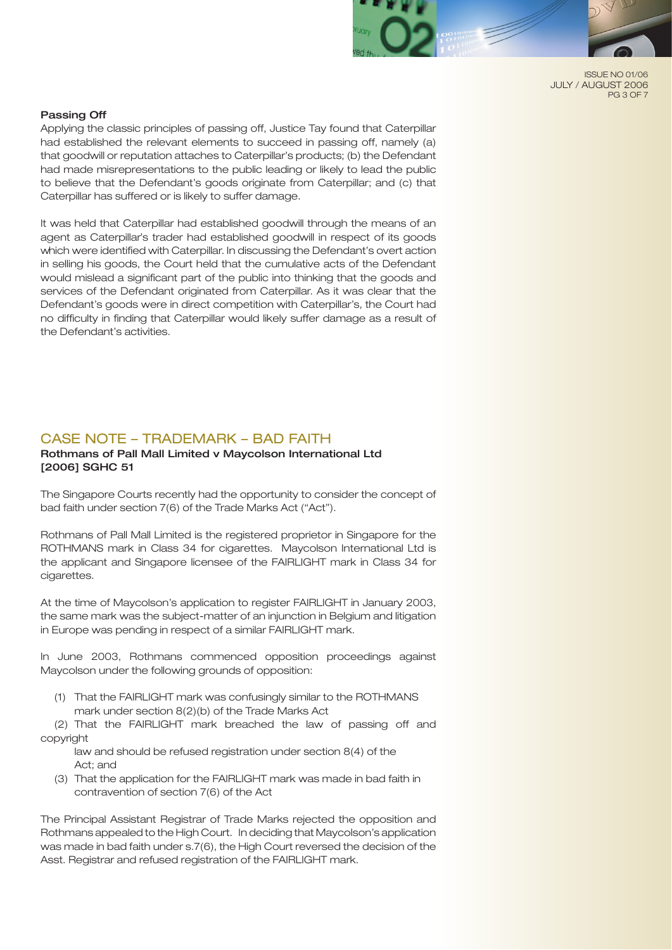

ISSUE NO 01/06 JULY / AUGUST 2006 PG 3 OF 7

#### Passing Off

Applying the classic principles of passing off, Justice Tay found that Caterpillar had established the relevant elements to succeed in passing off, namely (a) that goodwill or reputation attaches to Caterpillar's products; (b) the Defendant had made misrepresentations to the public leading or likely to lead the public to believe that the Defendant's goods originate from Caterpillar; and (c) that Caterpillar has suffered or is likely to suffer damage.

It was held that Caterpillar had established goodwill through the means of an agent as Caterpillar's trader had established goodwill in respect of its goods which were identified with Caterpillar. In discussing the Defendant's overt action in selling his goods, the Court held that the cumulative acts of the Defendant would mislead a significant part of the public into thinking that the goods and services of the Defendant originated from Caterpillar. As it was clear that the Defendant's goods were in direct competition with Caterpillar's, the Court had no difficulty in finding that Caterpillar would likely suffer damage as a result of the Defendant's activities.

## CASE NOTE – TRADEMARK – BAD FAITH

## Rothmans of Pall Mall Limited v Maycolson International Ltd [2006] SGHC 51

The Singapore Courts recently had the opportunity to consider the concept of bad faith under section 7(6) of the Trade Marks Act ("Act").

Rothmans of Pall Mall Limited is the registered proprietor in Singapore for the ROTHMANS mark in Class 34 for cigarettes. Maycolson International Ltd is the applicant and Singapore licensee of the FAIRLIGHT mark in Class 34 for cigarettes.

At the time of Maycolson's application to register FAIRLIGHT in January 2003, the same mark was the subject-matter of an injunction in Belgium and litigation in Europe was pending in respect of a similar FAIRLIGHT mark.

In June 2003, Rothmans commenced opposition proceedings against Maycolson under the following grounds of opposition:

 (1) That the FAIRLIGHT mark was confusingly similar to the ROTHMANS mark under section 8(2)(b) of the Trade Marks Act

 (2) That the FAIRLIGHT mark breached the law of passing off and copyright

 law and should be refused registration under section 8(4) of the Act; and

 (3) That the application for the FAIRLIGHT mark was made in bad faith in contravention of section 7(6) of the Act

The Principal Assistant Registrar of Trade Marks rejected the opposition and Rothmans appealed to the High Court. In deciding that Maycolson's application was made in bad faith under s.7(6), the High Court reversed the decision of the Asst. Registrar and refused registration of the FAIRLIGHT mark.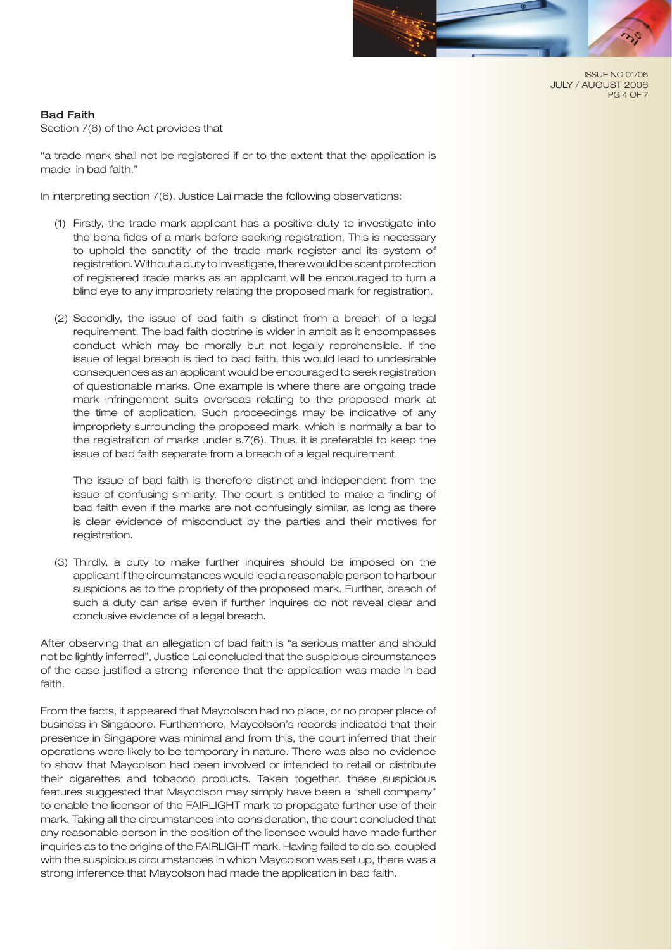

ISSUE NO 01/06 JULY / AUGUST 2006 PG 4 OF 7

#### Bad Faith

Section 7(6) of the Act provides that

"a trade mark shall not be registered if or to the extent that the application is made in bad faith."

In interpreting section 7(6), Justice Lai made the following observations:

- (1) Firstly, the trade mark applicant has a positive duty to investigate into the bona fides of a mark before seeking registration. This is necessary to uphold the sanctity of the trade mark register and its system of registration. Without a duty to investigate, there would be scant protection of registered trade marks as an applicant will be encouraged to turn a blind eye to any impropriety relating the proposed mark for registration.
- (2) Secondly, the issue of bad faith is distinct from a breach of a legal requirement. The bad faith doctrine is wider in ambit as it encompasses conduct which may be morally but not legally reprehensible. If the issue of legal breach is tied to bad faith, this would lead to undesirable consequences as an applicant would be encouraged to seek registration of questionable marks. One example is where there are ongoing trade mark infringement suits overseas relating to the proposed mark at the time of application. Such proceedings may be indicative of any impropriety surrounding the proposed mark, which is normally a bar to the registration of marks under s.7(6). Thus, it is preferable to keep the issue of bad faith separate from a breach of a legal requirement.

 The issue of bad faith is therefore distinct and independent from the issue of confusing similarity. The court is entitled to make a finding of bad faith even if the marks are not confusingly similar, as long as there is clear evidence of misconduct by the parties and their motives for registration.

 (3) Thirdly, a duty to make further inquires should be imposed on the applicant if the circumstances would lead a reasonable person to harbour suspicions as to the propriety of the proposed mark. Further, breach of such a duty can arise even if further inquires do not reveal clear and conclusive evidence of a legal breach.

After observing that an allegation of bad faith is "a serious matter and should not be lightly inferred", Justice Lai concluded that the suspicious circumstances of the case justified a strong inference that the application was made in bad faith.

From the facts, it appeared that Maycolson had no place, or no proper place of business in Singapore. Furthermore, Maycolson's records indicated that their presence in Singapore was minimal and from this, the court inferred that their operations were likely to be temporary in nature. There was also no evidence to show that Maycolson had been involved or intended to retail or distribute their cigarettes and tobacco products. Taken together, these suspicious features suggested that Maycolson may simply have been a "shell company" to enable the licensor of the FAIRLIGHT mark to propagate further use of their mark. Taking all the circumstances into consideration, the court concluded that any reasonable person in the position of the licensee would have made further inquiries as to the origins of the FAIRLIGHT mark. Having failed to do so, coupled with the suspicious circumstances in which Maycolson was set up, there was a strong inference that Maycolson had made the application in bad faith.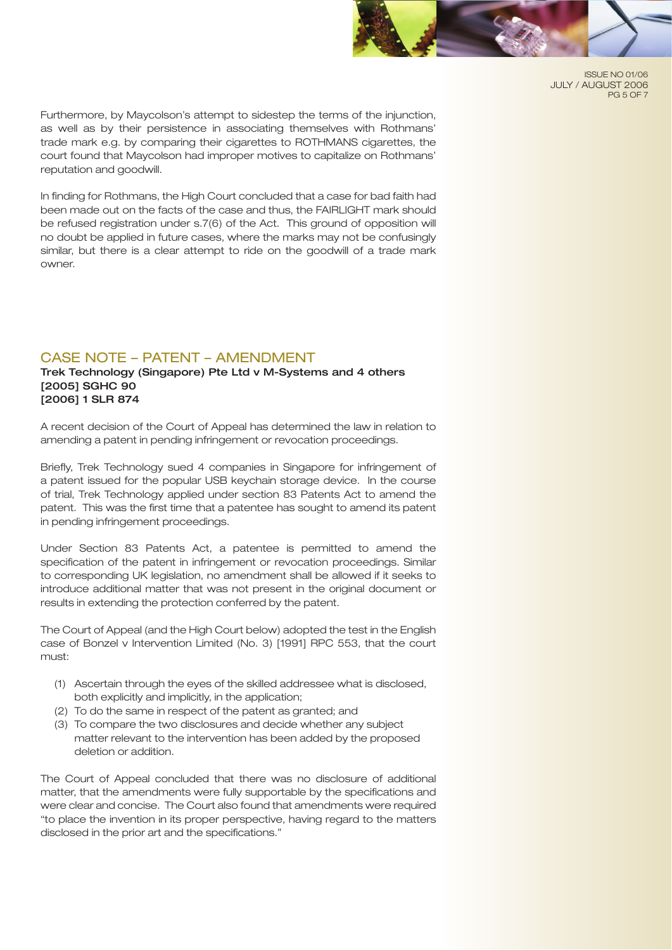

ISSUE NO 01/06 JULY / AUGUST 2006 PG 5 OF 7

Furthermore, by Maycolson's attempt to sidestep the terms of the injunction, as well as by their persistence in associating themselves with Rothmans' trade mark e.g. by comparing their cigarettes to ROTHMANS cigarettes, the court found that Maycolson had improper motives to capitalize on Rothmans' reputation and goodwill.

In finding for Rothmans, the High Court concluded that a case for bad faith had been made out on the facts of the case and thus, the FAIRLIGHT mark should be refused registration under s.7(6) of the Act. This ground of opposition will no doubt be applied in future cases, where the marks may not be confusingly similar, but there is a clear attempt to ride on the goodwill of a trade mark owner.

# CASE NOTE – PATENT – AMENDMENT

Trek Technology (Singapore) Pte Ltd v M-Systems and 4 others [2005] SGHC 90 [2006] 1 SLR 874

A recent decision of the Court of Appeal has determined the law in relation to amending a patent in pending infringement or revocation proceedings.

Briefly, Trek Technology sued 4 companies in Singapore for infringement of a patent issued for the popular USB keychain storage device. In the course of trial, Trek Technology applied under section 83 Patents Act to amend the patent. This was the first time that a patentee has sought to amend its patent in pending infringement proceedings.

Under Section 83 Patents Act, a patentee is permitted to amend the specification of the patent in infringement or revocation proceedings. Similar to corresponding UK legislation, no amendment shall be allowed if it seeks to introduce additional matter that was not present in the original document or results in extending the protection conferred by the patent.

The Court of Appeal (and the High Court below) adopted the test in the English case of Bonzel v Intervention Limited (No. 3) [1991] RPC 553, that the court must:

- (1) Ascertain through the eyes of the skilled addressee what is disclosed, both explicitly and implicitly, in the application;
- (2) To do the same in respect of the patent as granted; and
- (3) To compare the two disclosures and decide whether any subject matter relevant to the intervention has been added by the proposed deletion or addition.

The Court of Appeal concluded that there was no disclosure of additional matter, that the amendments were fully supportable by the specifications and were clear and concise. The Court also found that amendments were required "to place the invention in its proper perspective, having regard to the matters disclosed in the prior art and the specifications."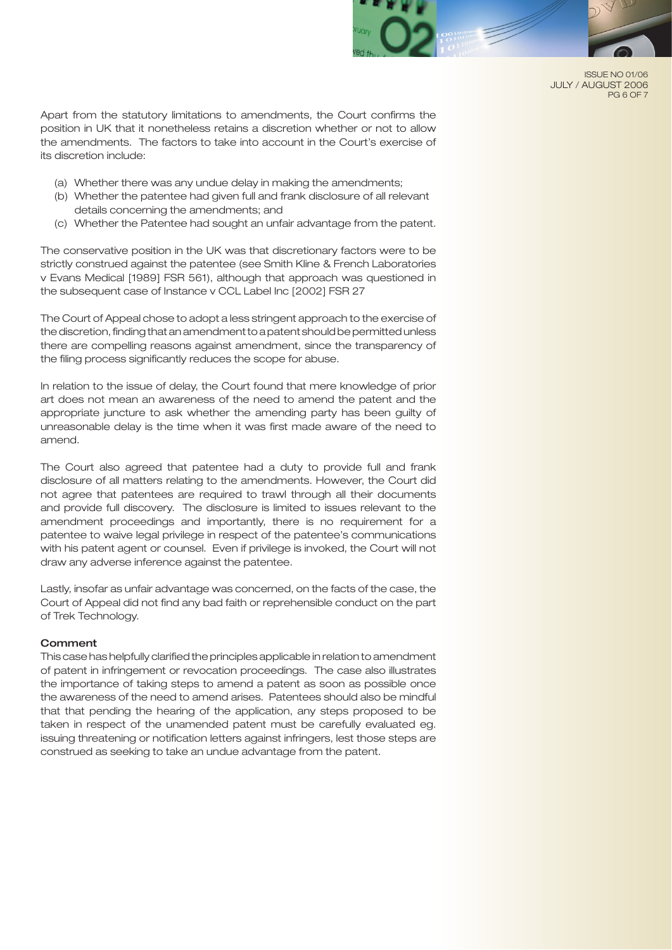

ISSUE NO 01/06 JULY / AUGUST 2006 PG 6 OF 7

Apart from the statutory limitations to amendments, the Court confirms the position in UK that it nonetheless retains a discretion whether or not to allow the amendments. The factors to take into account in the Court's exercise of its discretion include:

- (a) Whether there was any undue delay in making the amendments;
- (b) Whether the patentee had given full and frank disclosure of all relevant details concerning the amendments; and
- (c) Whether the Patentee had sought an unfair advantage from the patent.

The conservative position in the UK was that discretionary factors were to be strictly construed against the patentee (see Smith Kline & French Laboratories v Evans Medical [1989] FSR 561), although that approach was questioned in the subsequent case of Instance v CCL Label Inc [2002] FSR 27

The Court of Appeal chose to adopt a less stringent approach to the exercise of the discretion, finding that an amendment to a patent should be permitted unless there are compelling reasons against amendment, since the transparency of the filing process significantly reduces the scope for abuse.

In relation to the issue of delay, the Court found that mere knowledge of prior art does not mean an awareness of the need to amend the patent and the appropriate juncture to ask whether the amending party has been guilty of unreasonable delay is the time when it was first made aware of the need to amend.

The Court also agreed that patentee had a duty to provide full and frank disclosure of all matters relating to the amendments. However, the Court did not agree that patentees are required to trawl through all their documents and provide full discovery. The disclosure is limited to issues relevant to the amendment proceedings and importantly, there is no requirement for a patentee to waive legal privilege in respect of the patentee's communications with his patent agent or counsel. Even if privilege is invoked, the Court will not draw any adverse inference against the patentee.

Lastly, insofar as unfair advantage was concerned, on the facts of the case, the Court of Appeal did not find any bad faith or reprehensible conduct on the part of Trek Technology.

#### **Comment**

This case has helpfully clarified the principles applicable in relation to amendment of patent in infringement or revocation proceedings. The case also illustrates the importance of taking steps to amend a patent as soon as possible once the awareness of the need to amend arises. Patentees should also be mindful that that pending the hearing of the application, any steps proposed to be taken in respect of the unamended patent must be carefully evaluated eg. issuing threatening or notification letters against infringers, lest those steps are construed as seeking to take an undue advantage from the patent.